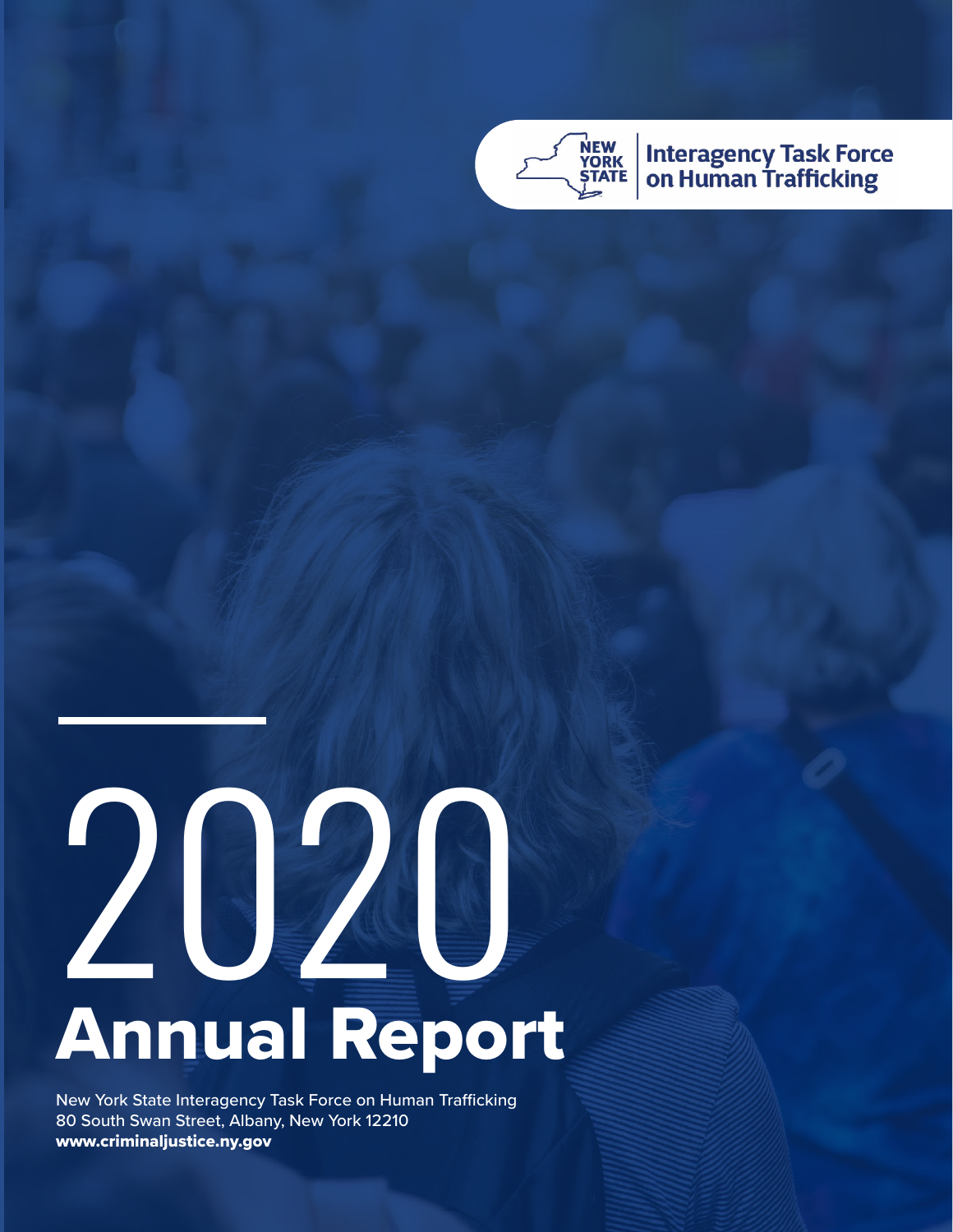

**Interagency Task Force<br>on Human Trafficking** 

# 2020 Annual Report

New York State Interagency Task Force on Human Trafficking 80 South Swan Street, Albany, New York 12210 www.criminaljustice.ny.gov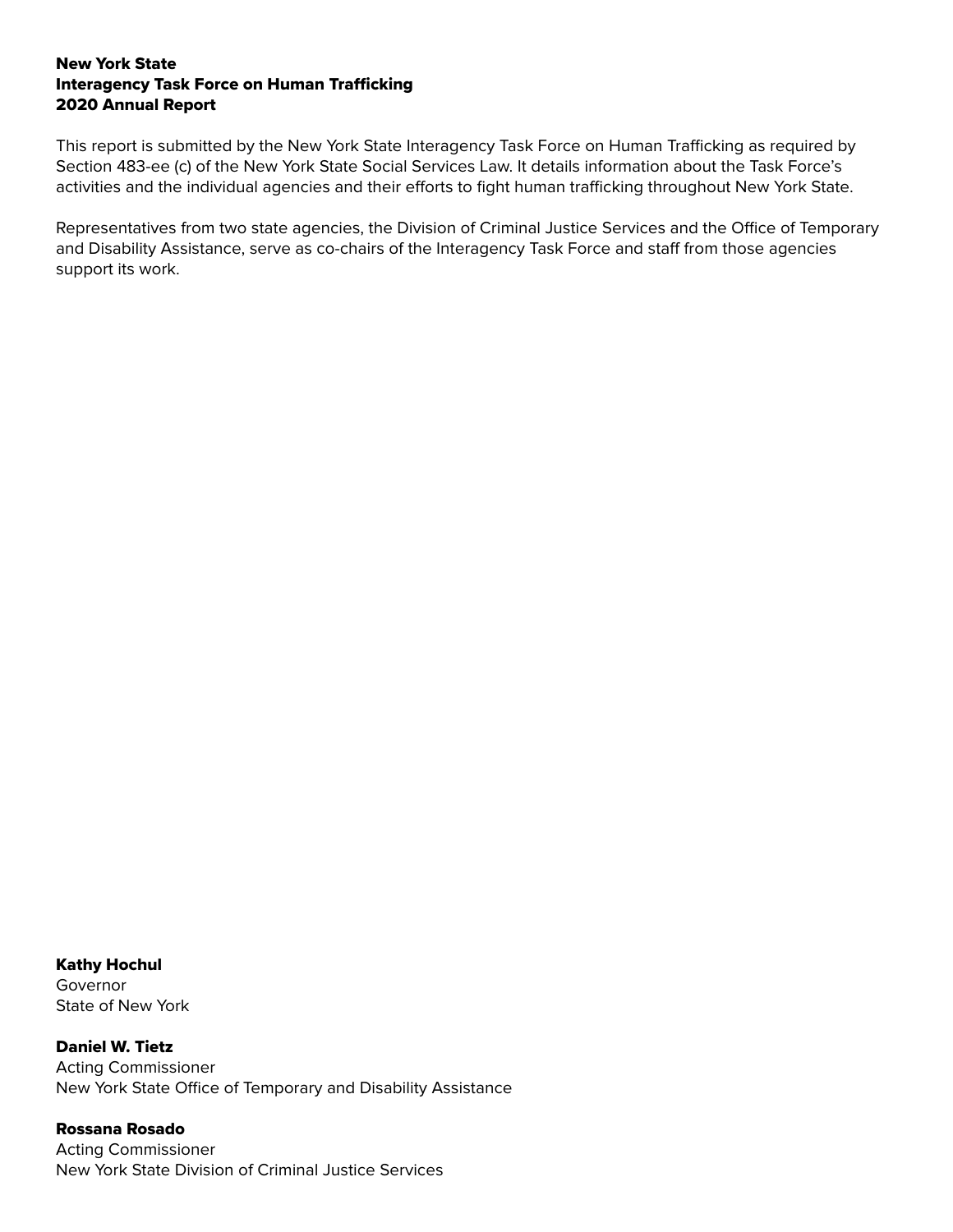#### New York State Interagency Task Force on Human Trafficking 2020 Annual Report

This report is submitted by the New York State Interagency Task Force on Human Trafficking as required by Section 483-ee (c) of the New York State Social Services Law. It details information about the Task Force's activities and the individual agencies and their efforts to fight human trafficking throughout New York State.

Representatives from two state agencies, the Division of Criminal Justice Services and the Office of Temporary and Disability Assistance, serve as co-chairs of the Interagency Task Force and staff from those agencies support its work.

Kathy Hochul Governor State of New York

Daniel W. Tietz Acting Commissioner New York State Office of Temporary and Disability Assistance

Rossana Rosado Acting Commissioner New York State Division of Criminal Justice Services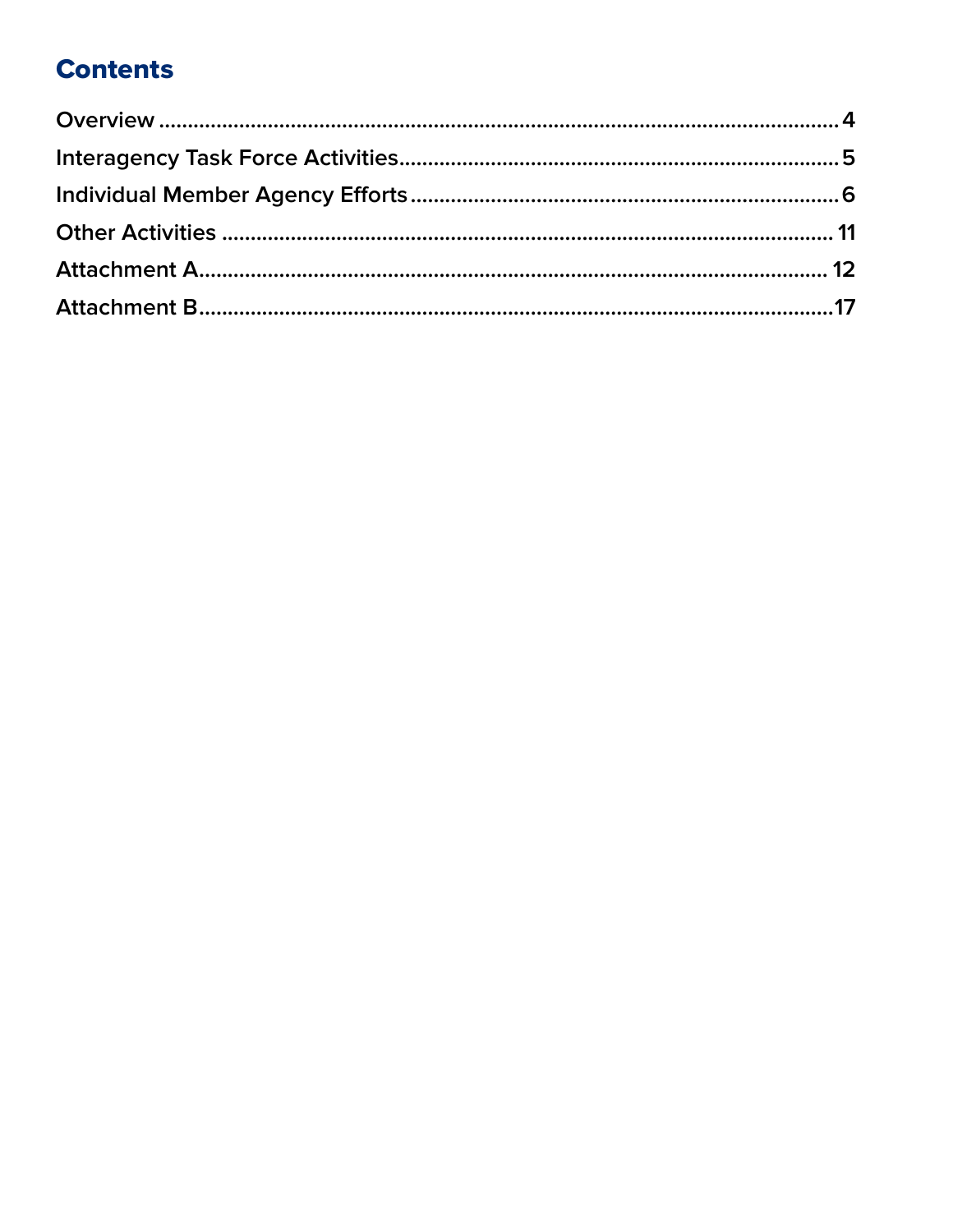# **Contents**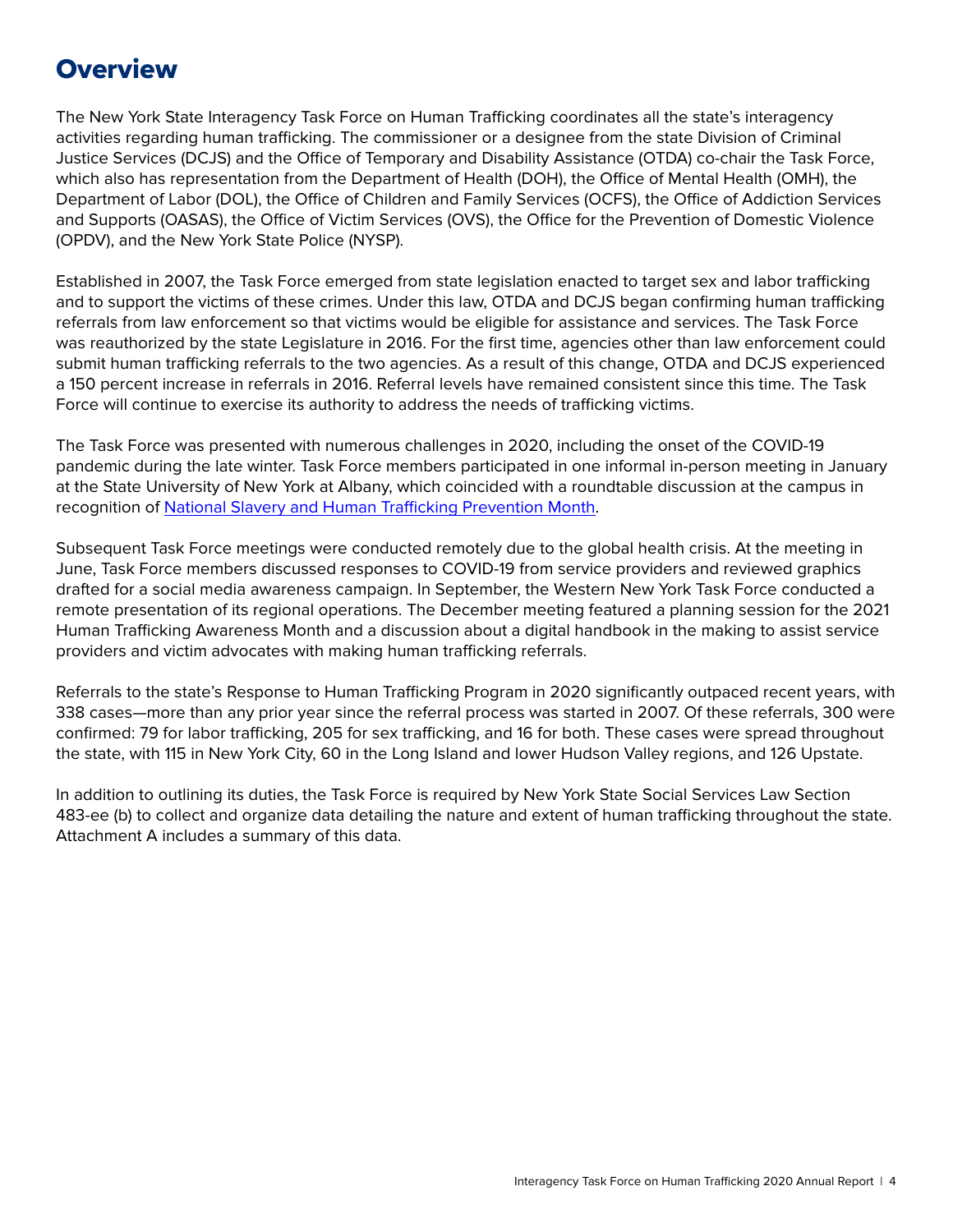## <span id="page-3-0"></span>**Overview**

The New York State Interagency Task Force on Human Trafficking coordinates all the state's interagency activities regarding human trafficking. The commissioner or a designee from the state Division of Criminal Justice Services (DCJS) and the Office of Temporary and Disability Assistance (OTDA) co-chair the Task Force, which also has representation from the Department of Health (DOH), the Office of Mental Health (OMH), the Department of Labor (DOL), the Office of Children and Family Services (OCFS), the Office of Addiction Services and Supports (OASAS), the Office of Victim Services (OVS), the Office for the Prevention of Domestic Violence (OPDV), and the New York State Police (NYSP).

Established in 2007, the Task Force emerged from state legislation enacted to target sex and labor trafficking and to support the victims of these crimes. Under this law, OTDA and DCJS began confirming human trafficking referrals from law enforcement so that victims would be eligible for assistance and services. The Task Force was reauthorized by the state Legislature in 2016. For the first time, agencies other than law enforcement could submit human trafficking referrals to the two agencies. As a result of this change, OTDA and DCJS experienced a 150 percent increase in referrals in 2016. Referral levels have remained consistent since this time. The Task Force will continue to exercise its authority to address the needs of trafficking victims.

The Task Force was presented with numerous challenges in 2020, including the onset of the COVID-19 pandemic during the late winter. Task Force members participated in one informal in-person meeting in January at the State University of New York at Albany, which coincided with a roundtable discussion at the campus in recognition of [National Slavery and Human Trafficking Prevention Month.](https://www.state.gov/national-slavery-and-human-trafficking-prevention-month/)

Subsequent Task Force meetings were conducted remotely due to the global health crisis. At the meeting in June, Task Force members discussed responses to COVID-19 from service providers and reviewed graphics drafted for a social media awareness campaign. In September, the Western New York Task Force conducted a remote presentation of its regional operations. The December meeting featured a planning session for the 2021 Human Trafficking Awareness Month and a discussion about a digital handbook in the making to assist service providers and victim advocates with making human trafficking referrals.

Referrals to the state's Response to Human Trafficking Program in 2020 significantly outpaced recent years, with 338 cases—more than any prior year since the referral process was started in 2007. Of these referrals, 300 were confirmed: 79 for labor trafficking, 205 for sex trafficking, and 16 for both. These cases were spread throughout the state, with 115 in New York City, 60 in the Long Island and lower Hudson Valley regions, and 126 Upstate.

In addition to outlining its duties, the Task Force is required by New York State Social Services Law Section 483-ee (b) to collect and organize data detailing the nature and extent of human trafficking throughout the state. Attachment A includes a summary of this data.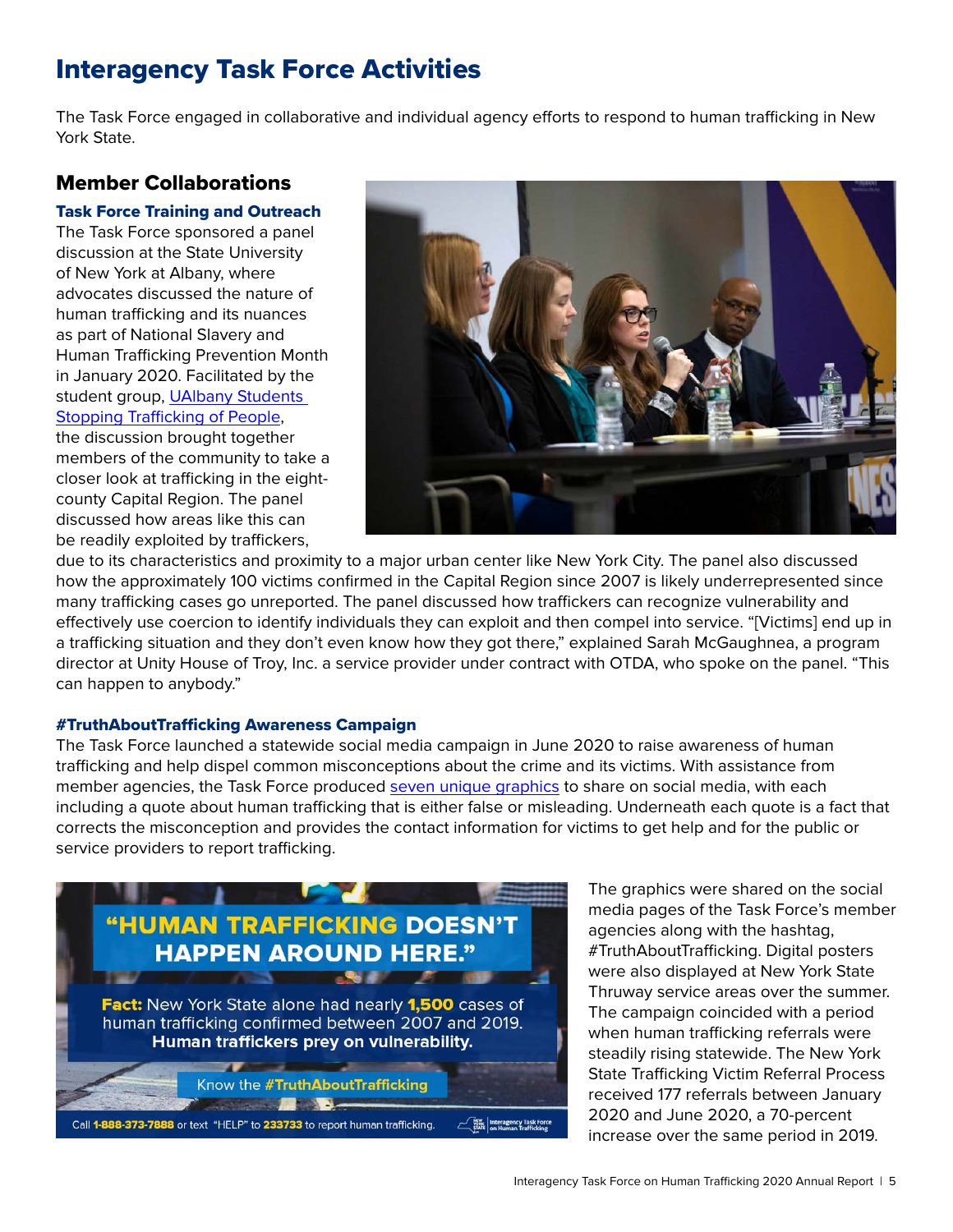# <span id="page-4-0"></span>Interagency Task Force Activities

The Task Force engaged in collaborative and individual agency efforts to respond to human trafficking in New York State.

#### Member Collaborations

#### Task Force Training and Outreach

The Task Force sponsored a panel discussion at the State University of New York at Albany, where advocates discussed the nature of human trafficking and its nuances as part of National Slavery and Human Trafficking Prevention Month in January 2020. Facilitated by the student group, [UAlbany Students](https://myinvolvement.org/organization/sstop)  [Stopping Trafficking of People](https://myinvolvement.org/organization/sstop),

the discussion brought together members of the community to take a closer look at trafficking in the eightcounty Capital Region. The panel discussed how areas like this can be readily exploited by traffickers,



due to its characteristics and proximity to a major urban center like New York City. The panel also discussed how the approximately 100 victims confirmed in the Capital Region since 2007 is likely underrepresented since many trafficking cases go unreported. The panel discussed how traffickers can recognize vulnerability and effectively use coercion to identify individuals they can exploit and then compel into service. "[Victims] end up in a trafficking situation and they don't even know how they got there," explained Sarah McGaughnea, a program director at Unity House of Troy, Inc. a service provider under contract with OTDA, who spoke on the panel. "This can happen to anybody."

#### #TruthAboutTrafficking Awareness Campaign

The Task Force launched a statewide social media campaign in June 2020 to raise awareness of human trafficking and help dispel common misconceptions about the crime and its victims. With assistance from member agencies, the Task Force produced [seven unique graphics](https://otda.ny.gov/programs/bria/truthabouttrafficking.asp) to share on social media, with each including a quote about human trafficking that is either false or misleading. Underneath each quote is a fact that corrects the misconception and provides the contact information for victims to get help and for the public or service providers to report trafficking.



The graphics were shared on the social media pages of the Task Force's member agencies along with the hashtag, #TruthAboutTrafficking. Digital posters were also displayed at New York State Thruway service areas over the summer. The campaign coincided with a period when human trafficking referrals were steadily rising statewide. The New York State Trafficking Victim Referral Process received 177 referrals between January 2020 and June 2020, a 70-percent increase over the same period in 2019.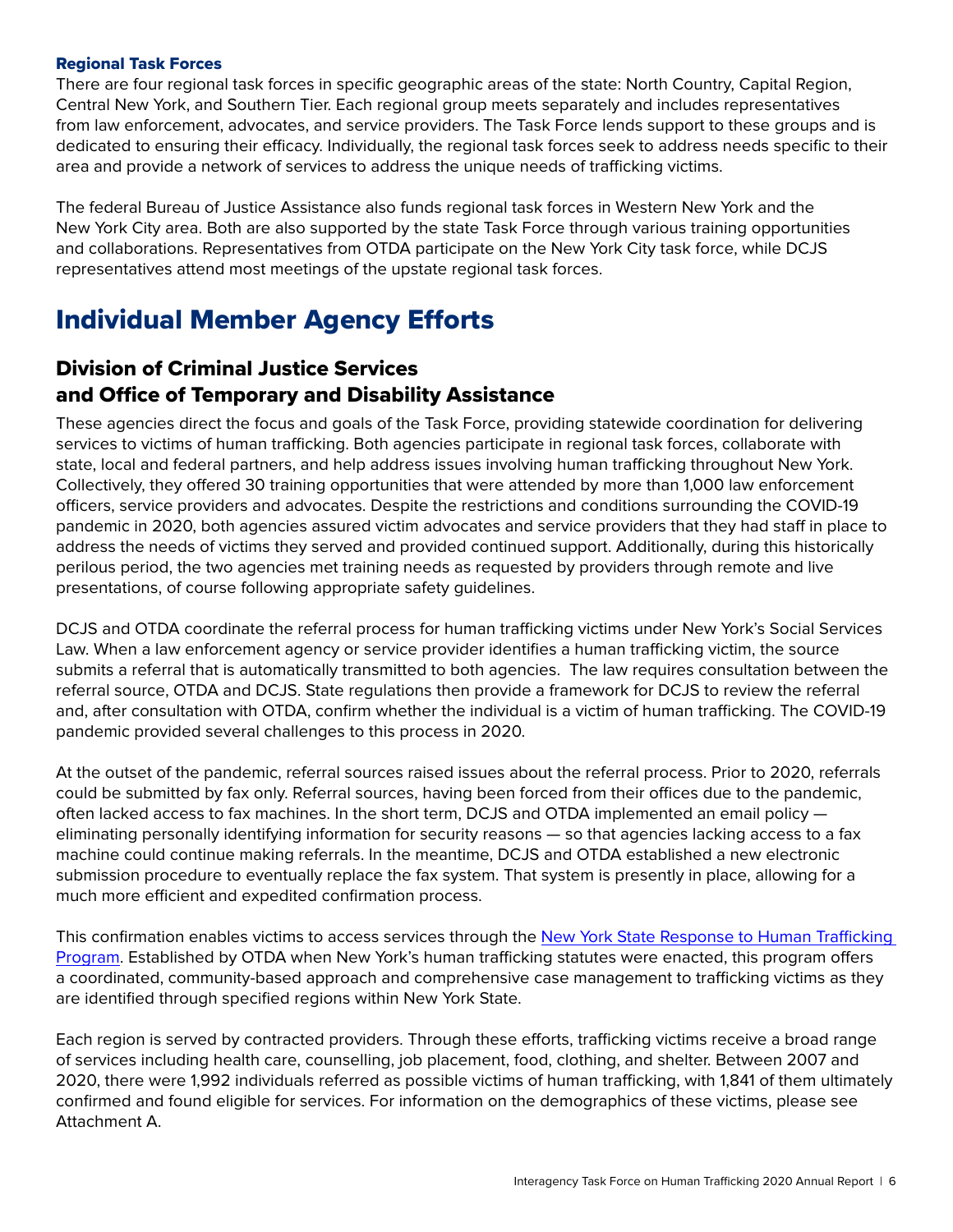#### <span id="page-5-0"></span>Regional Task Forces

There are four regional task forces in specific geographic areas of the state: North Country, Capital Region, Central New York, and Southern Tier. Each regional group meets separately and includes representatives from law enforcement, advocates, and service providers. The Task Force lends support to these groups and is dedicated to ensuring their efficacy. Individually, the regional task forces seek to address needs specific to their area and provide a network of services to address the unique needs of trafficking victims.

The federal Bureau of Justice Assistance also funds regional task forces in Western New York and the New York City area. Both are also supported by the state Task Force through various training opportunities and collaborations. Representatives from OTDA participate on the New York City task force, while DCJS representatives attend most meetings of the upstate regional task forces.

## Individual Member Agency Efforts

#### Division of Criminal Justice Services and Office of Temporary and Disability Assistance

These agencies direct the focus and goals of the Task Force, providing statewide coordination for delivering services to victims of human trafficking. Both agencies participate in regional task forces, collaborate with state, local and federal partners, and help address issues involving human trafficking throughout New York. Collectively, they offered 30 training opportunities that were attended by more than 1,000 law enforcement officers, service providers and advocates. Despite the restrictions and conditions surrounding the COVID-19 pandemic in 2020, both agencies assured victim advocates and service providers that they had staff in place to address the needs of victims they served and provided continued support. Additionally, during this historically perilous period, the two agencies met training needs as requested by providers through remote and live presentations, of course following appropriate safety guidelines.

DCJS and OTDA coordinate the referral process for human trafficking victims under New York's Social Services Law. When a law enforcement agency or service provider identifies a human trafficking victim, the source submits a referral that is automatically transmitted to both agencies. The law requires consultation between the referral source, OTDA and DCJS. State regulations then provide a framework for DCJS to review the referral and, after consultation with OTDA, confirm whether the individual is a victim of human trafficking. The COVID-19 pandemic provided several challenges to this process in 2020.

At the outset of the pandemic, referral sources raised issues about the referral process. Prior to 2020, referrals could be submitted by fax only. Referral sources, having been forced from their offices due to the pandemic, often lacked access to fax machines. In the short term, DCJS and OTDA implemented an email policy eliminating personally identifying information for security reasons — so that agencies lacking access to a fax machine could continue making referrals. In the meantime, DCJS and OTDA established a new electronic submission procedure to eventually replace the fax system. That system is presently in place, allowing for a much more efficient and expedited confirmation process.

This confirmation enables victims to access services through the New York State Response to Human Trafficking [Program](https://otda.ny.gov/programs/bria/trafficking.asp). Established by OTDA when New York's human trafficking statutes were enacted, this program offers a coordinated, community-based approach and comprehensive case management to trafficking victims as they are identified through specified regions within New York State.

Each region is served by contracted providers. Through these efforts, trafficking victims receive a broad range of services including health care, counselling, job placement, food, clothing, and shelter. Between 2007 and 2020, there were 1,992 individuals referred as possible victims of human trafficking, with 1,841 of them ultimately confirmed and found eligible for services. For information on the demographics of these victims, please see Attachment A.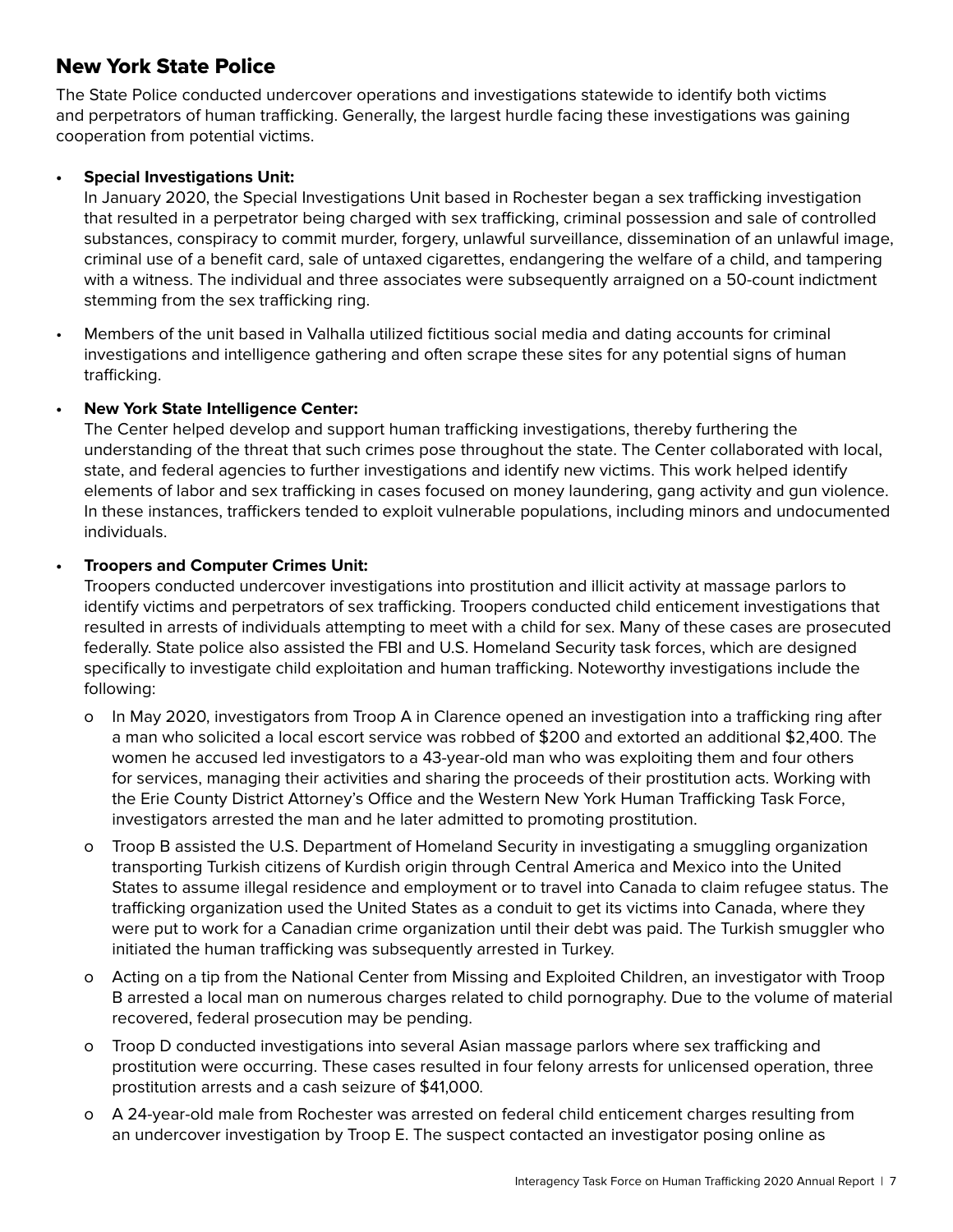#### New York State Police

The State Police conducted undercover operations and investigations statewide to identify both victims and perpetrators of human trafficking. Generally, the largest hurdle facing these investigations was gaining cooperation from potential victims.

#### **• Special Investigations Unit:**

In January 2020, the Special Investigations Unit based in Rochester began a sex trafficking investigation that resulted in a perpetrator being charged with sex trafficking, criminal possession and sale of controlled substances, conspiracy to commit murder, forgery, unlawful surveillance, dissemination of an unlawful image, criminal use of a benefit card, sale of untaxed cigarettes, endangering the welfare of a child, and tampering with a witness. The individual and three associates were subsequently arraigned on a 50-count indictment stemming from the sex trafficking ring.

• Members of the unit based in Valhalla utilized fictitious social media and dating accounts for criminal investigations and intelligence gathering and often scrape these sites for any potential signs of human trafficking.

#### **• New York State Intelligence Center:**

The Center helped develop and support human trafficking investigations, thereby furthering the understanding of the threat that such crimes pose throughout the state. The Center collaborated with local, state, and federal agencies to further investigations and identify new victims. This work helped identify elements of labor and sex trafficking in cases focused on money laundering, gang activity and gun violence. In these instances, traffickers tended to exploit vulnerable populations, including minors and undocumented individuals.

#### **• Troopers and Computer Crimes Unit:**

Troopers conducted undercover investigations into prostitution and illicit activity at massage parlors to identify victims and perpetrators of sex trafficking. Troopers conducted child enticement investigations that resulted in arrests of individuals attempting to meet with a child for sex. Many of these cases are prosecuted federally. State police also assisted the FBI and U.S. Homeland Security task forces, which are designed specifically to investigate child exploitation and human trafficking. Noteworthy investigations include the following:

- ο In May 2020, investigators from Troop A in Clarence opened an investigation into a trafficking ring after a man who solicited a local escort service was robbed of \$200 and extorted an additional \$2,400. The women he accused led investigators to a 43-year-old man who was exploiting them and four others for services, managing their activities and sharing the proceeds of their prostitution acts. Working with the Erie County District Attorney's Office and the Western New York Human Trafficking Task Force, investigators arrested the man and he later admitted to promoting prostitution.
- ο Troop B assisted the U.S. Department of Homeland Security in investigating a smuggling organization transporting Turkish citizens of Kurdish origin through Central America and Mexico into the United States to assume illegal residence and employment or to travel into Canada to claim refugee status. The trafficking organization used the United States as a conduit to get its victims into Canada, where they were put to work for a Canadian crime organization until their debt was paid. The Turkish smuggler who initiated the human trafficking was subsequently arrested in Turkey.
- ο Acting on a tip from the National Center from Missing and Exploited Children, an investigator with Troop B arrested a local man on numerous charges related to child pornography. Due to the volume of material recovered, federal prosecution may be pending.
- ο Troop D conducted investigations into several Asian massage parlors where sex trafficking and prostitution were occurring. These cases resulted in four felony arrests for unlicensed operation, three prostitution arrests and a cash seizure of \$41,000.
- ο A 24-year-old male from Rochester was arrested on federal child enticement charges resulting from an undercover investigation by Troop E. The suspect contacted an investigator posing online as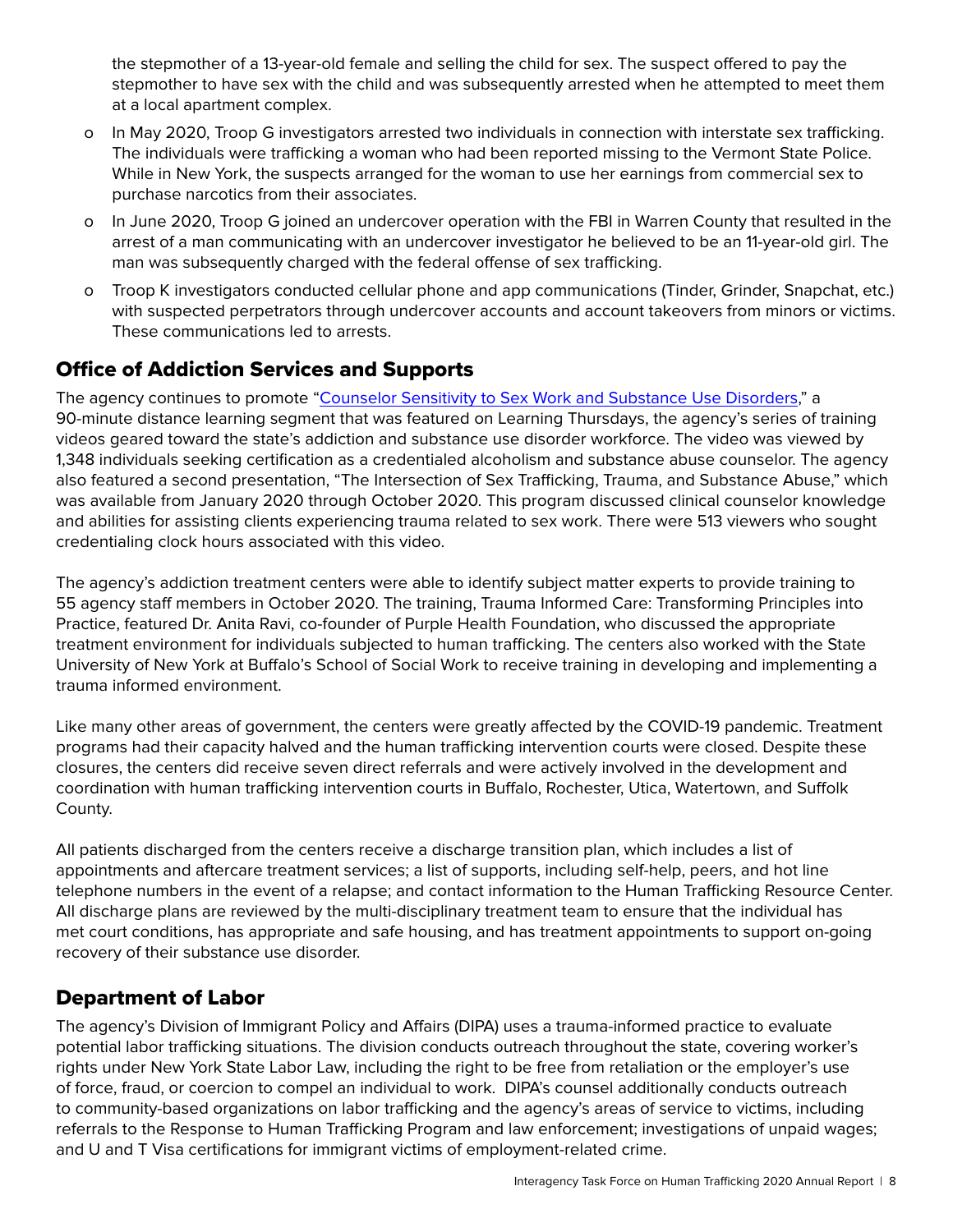the stepmother of a 13-year-old female and selling the child for sex. The suspect offered to pay the stepmother to have sex with the child and was subsequently arrested when he attempted to meet them at a local apartment complex.

- ο In May 2020, Troop G investigators arrested two individuals in connection with interstate sex trafficking. The individuals were trafficking a woman who had been reported missing to the Vermont State Police. While in New York, the suspects arranged for the woman to use her earnings from commercial sex to purchase narcotics from their associates.
- ο In June 2020, Troop G joined an undercover operation with the FBI in Warren County that resulted in the arrest of a man communicating with an undercover investigator he believed to be an 11-year-old girl. The man was subsequently charged with the federal offense of sex trafficking.
- ο Troop K investigators conducted cellular phone and app communications (Tinder, Grinder, Snapchat, etc.) with suspected perpetrators through undercover accounts and account takeovers from minors or victims. These communications led to arrests.

## Office of Addiction Services and Supports

The agency continues to promote ["Counselor Sensitivity to Sex Work and Substance Use Disorders,](https://www.youtube.com/watch?v=nKtvUqsF7x4)" a 90-minute distance learning segment that was featured on Learning Thursdays, the agency's series of training videos geared toward the state's addiction and substance use disorder workforce. The video was viewed by 1,348 individuals seeking certification as a credentialed alcoholism and substance abuse counselor. The agency also featured a second presentation, "The Intersection of Sex Trafficking, Trauma, and Substance Abuse," which was available from January 2020 through October 2020. This program discussed clinical counselor knowledge and abilities for assisting clients experiencing trauma related to sex work. There were 513 viewers who sought credentialing clock hours associated with this video.

The agency's addiction treatment centers were able to identify subject matter experts to provide training to 55 agency staff members in October 2020. The training, Trauma Informed Care: Transforming Principles into Practice, featured Dr. Anita Ravi, co-founder of Purple Health Foundation, who discussed the appropriate treatment environment for individuals subjected to human trafficking. The centers also worked with the State University of New York at Buffalo's School of Social Work to receive training in developing and implementing a trauma informed environment.

Like many other areas of government, the centers were greatly affected by the COVID-19 pandemic. Treatment programs had their capacity halved and the human trafficking intervention courts were closed. Despite these closures, the centers did receive seven direct referrals and were actively involved in the development and coordination with human trafficking intervention courts in Buffalo, Rochester, Utica, Watertown, and Suffolk County.

All patients discharged from the centers receive a discharge transition plan, which includes a list of appointments and aftercare treatment services; a list of supports, including self-help, peers, and hot line telephone numbers in the event of a relapse; and contact information to the Human Trafficking Resource Center. All discharge plans are reviewed by the multi-disciplinary treatment team to ensure that the individual has met court conditions, has appropriate and safe housing, and has treatment appointments to support on-going recovery of their substance use disorder.

#### Department of Labor

The agency's Division of Immigrant Policy and Affairs (DIPA) uses a trauma-informed practice to evaluate potential labor trafficking situations. The division conducts outreach throughout the state, covering worker's rights under New York State Labor Law, including the right to be free from retaliation or the employer's use of force, fraud, or coercion to compel an individual to work. DIPA's counsel additionally conducts outreach to community-based organizations on labor trafficking and the agency's areas of service to victims, including referrals to the Response to Human Trafficking Program and law enforcement; investigations of unpaid wages; and U and T Visa certifications for immigrant victims of employment-related crime.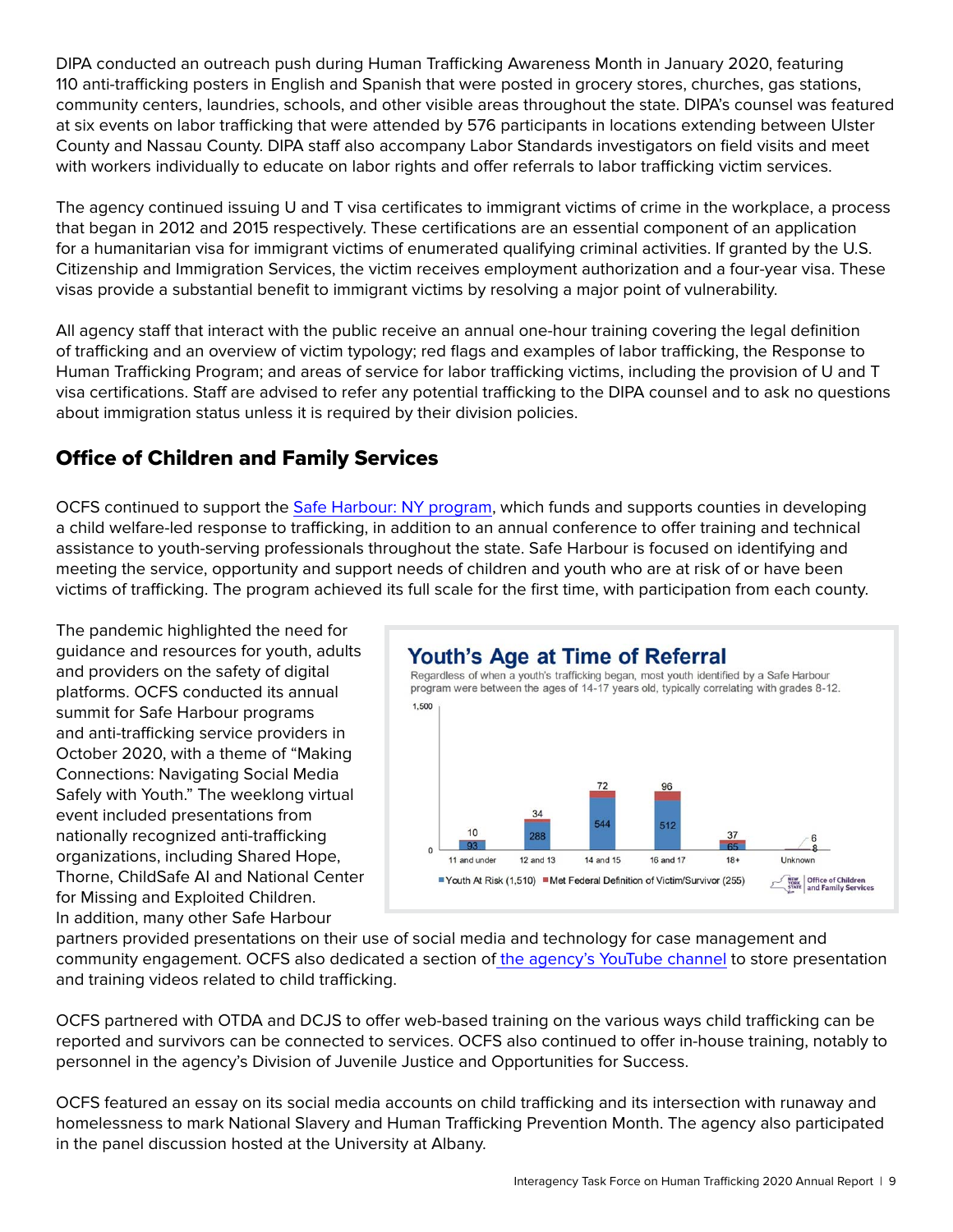DIPA conducted an outreach push during Human Trafficking Awareness Month in January 2020, featuring 110 anti-trafficking posters in English and Spanish that were posted in grocery stores, churches, gas stations, community centers, laundries, schools, and other visible areas throughout the state. DIPA's counsel was featured at six events on labor trafficking that were attended by 576 participants in locations extending between Ulster County and Nassau County. DIPA staff also accompany Labor Standards investigators on field visits and meet with workers individually to educate on labor rights and offer referrals to labor trafficking victim services.

The agency continued issuing U and T visa certificates to immigrant victims of crime in the workplace, a process that began in 2012 and 2015 respectively. These certifications are an essential component of an application for a humanitarian visa for immigrant victims of enumerated qualifying criminal activities. If granted by the U.S. Citizenship and Immigration Services, the victim receives employment authorization and a four-year visa. These visas provide a substantial benefit to immigrant victims by resolving a major point of vulnerability.

All agency staff that interact with the public receive an annual one-hour training covering the legal definition of trafficking and an overview of victim typology; red flags and examples of labor trafficking, the Response to Human Trafficking Program; and areas of service for labor trafficking victims, including the provision of U and T visa certifications. Staff are advised to refer any potential trafficking to the DIPA counsel and to ask no questions about immigration status unless it is required by their division policies.

## Office of Children and Family Services

OCFS continued to support the [Safe Harbour: NY program](https://ocfs.ny.gov/programs/human-trafficking/safe-harbour.php), which funds and supports counties in developing a child welfare-led response to trafficking, in addition to an annual conference to offer training and technical assistance to youth-serving professionals throughout the state. Safe Harbour is focused on identifying and meeting the service, opportunity and support needs of children and youth who are at risk of or have been victims of trafficking. The program achieved its full scale for the first time, with participation from each county.

The pandemic highlighted the need for guidance and resources for youth, adults and providers on the safety of digital platforms. OCFS conducted its annual summit for Safe Harbour programs and anti-trafficking service providers in October 2020, with a theme of "Making Connections: Navigating Social Media Safely with Youth." The weeklong virtual event included presentations from nationally recognized anti-trafficking organizations, including Shared Hope, Thorne, ChildSafe AI and National Center for Missing and Exploited Children. In addition, many other Safe Harbour



partners provided presentations on their use of social media and technology for case management and community engagement. OCFS also dedicated a section of [the agency's YouTube channel](https://www.youtube.com/playlist?list=PLQ3EWm0H6j_qWNSsPh9beV5RsMPlA2-Vh) to store presentation and training videos related to child trafficking.

OCFS partnered with OTDA and DCJS to offer web-based training on the various ways child trafficking can be reported and survivors can be connected to services. OCFS also continued to offer in-house training, notably to personnel in the agency's Division of Juvenile Justice and Opportunities for Success.

OCFS featured an essay on its social media accounts on child trafficking and its intersection with runaway and homelessness to mark National Slavery and Human Trafficking Prevention Month. The agency also participated in the panel discussion hosted at the University at Albany.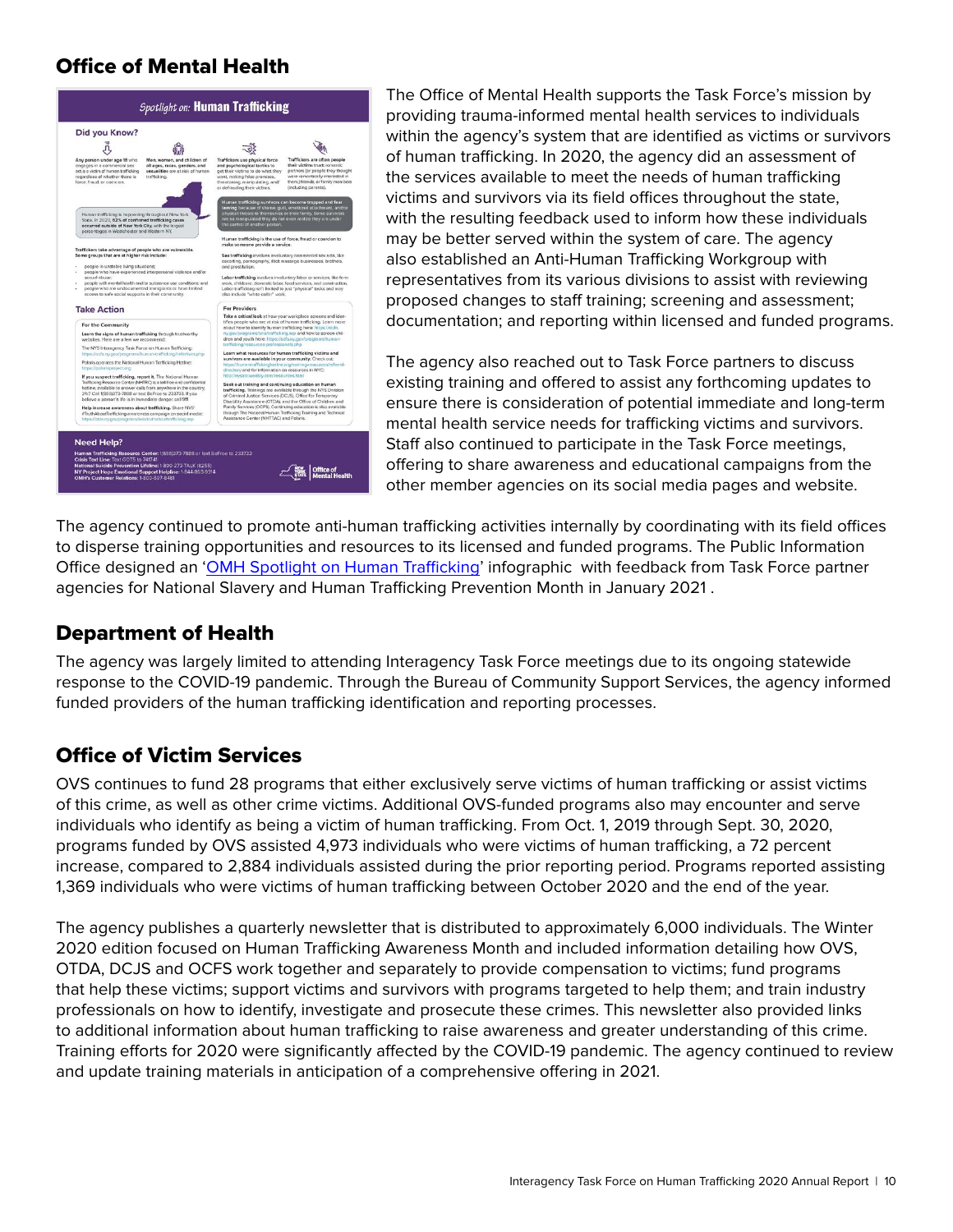#### Office of Mental Health



The Office of Mental Health supports the Task Force's mission by providing trauma-informed mental health services to individuals within the agency's system that are identified as victims or survivors of human trafficking. In 2020, the agency did an assessment of the services available to meet the needs of human trafficking victims and survivors via its field offices throughout the state, with the resulting feedback used to inform how these individuals may be better served within the system of care. The agency also established an Anti-Human Trafficking Workgroup with representatives from its various divisions to assist with reviewing proposed changes to staff training; screening and assessment; documentation; and reporting within licensed and funded programs.

The agency also reached out to Task Force partners to discuss existing training and offered to assist any forthcoming updates to ensure there is consideration of potential immediate and long-term mental health service needs for trafficking victims and survivors. Staff also continued to participate in the Task Force meetings, offering to share awareness and educational campaigns from the other member agencies on its social media pages and website.

The agency continued to promote anti-human trafficking activities internally by coordinating with its field offices to disperse training opportunities and resources to its licensed and funded programs. The Public Information Office designed an '[OMH Spotlight on Human Trafficking](https://omh.ny.gov/omhweb/resources/publications/spotlight-on-human-trafficking.pdf)' infographic with feedback from Task Force partner agencies for National Slavery and Human Trafficking Prevention Month in January 2021 .

#### Department of Health

The agency was largely limited to attending Interagency Task Force meetings due to its ongoing statewide response to the COVID-19 pandemic. Through the Bureau of Community Support Services, the agency informed funded providers of the human trafficking identification and reporting processes.

## Office of Victim Services

OVS continues to fund 28 programs that either exclusively serve victims of human trafficking or assist victims of this crime, as well as other crime victims. Additional OVS-funded programs also may encounter and serve individuals who identify as being a victim of human trafficking. From Oct. 1, 2019 through Sept. 30, 2020, programs funded by OVS assisted 4,973 individuals who were victims of human trafficking, a 72 percent increase, compared to 2,884 individuals assisted during the prior reporting period. Programs reported assisting 1,369 individuals who were victims of human trafficking between October 2020 and the end of the year.

The agency publishes a quarterly newsletter that is distributed to approximately 6,000 individuals. The Winter 2020 edition focused on Human Trafficking Awareness Month and included information detailing how OVS, OTDA, DCJS and OCFS work together and separately to provide compensation to victims; fund programs that help these victims; support victims and survivors with programs targeted to help them; and train industry professionals on how to identify, investigate and prosecute these crimes. This newsletter also provided links to additional information about human trafficking to raise awareness and greater understanding of this crime. Training efforts for 2020 were significantly affected by the COVID-19 pandemic. The agency continued to review and update training materials in anticipation of a comprehensive offering in 2021.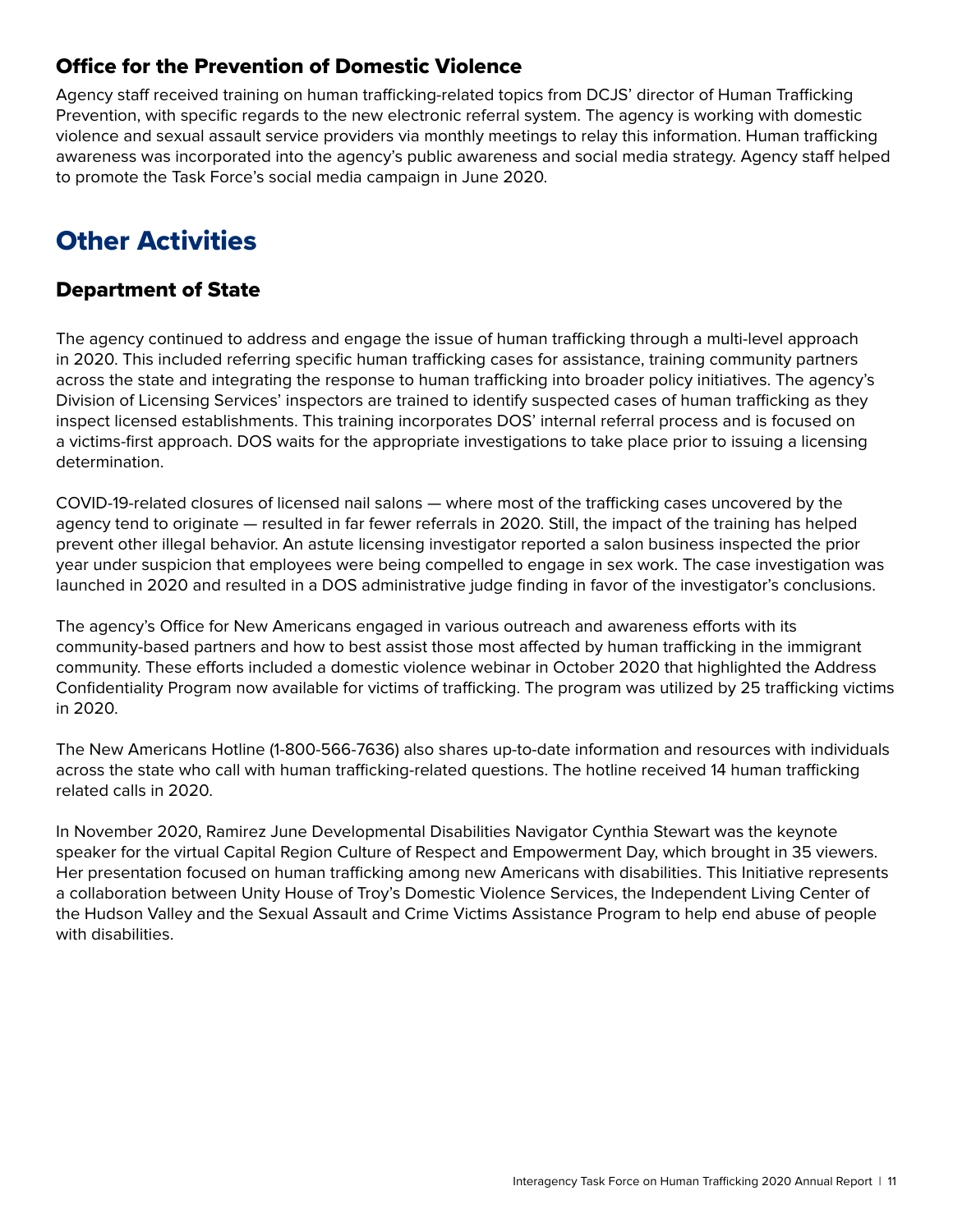#### <span id="page-10-0"></span>Office for the Prevention of Domestic Violence

Agency staff received training on human trafficking-related topics from DCJS' director of Human Trafficking Prevention, with specific regards to the new electronic referral system. The agency is working with domestic violence and sexual assault service providers via monthly meetings to relay this information. Human trafficking awareness was incorporated into the agency's public awareness and social media strategy. Agency staff helped to promote the Task Force's social media campaign in June 2020.

# **Other Activities**

#### Department of State

The agency continued to address and engage the issue of human trafficking through a multi-level approach in 2020. This included referring specific human trafficking cases for assistance, training community partners across the state and integrating the response to human trafficking into broader policy initiatives. The agency's Division of Licensing Services' inspectors are trained to identify suspected cases of human trafficking as they inspect licensed establishments. This training incorporates DOS' internal referral process and is focused on a victims-first approach. DOS waits for the appropriate investigations to take place prior to issuing a licensing determination.

COVID-19-related closures of licensed nail salons — where most of the trafficking cases uncovered by the agency tend to originate — resulted in far fewer referrals in 2020. Still, the impact of the training has helped prevent other illegal behavior. An astute licensing investigator reported a salon business inspected the prior year under suspicion that employees were being compelled to engage in sex work. The case investigation was launched in 2020 and resulted in a DOS administrative judge finding in favor of the investigator's conclusions.

The agency's Office for New Americans engaged in various outreach and awareness efforts with its community-based partners and how to best assist those most affected by human trafficking in the immigrant community. These efforts included a domestic violence webinar in October 2020 that highlighted the Address Confidentiality Program now available for victims of trafficking. The program was utilized by 25 trafficking victims in 2020.

The New Americans Hotline (1-800-566-7636) also shares up-to-date information and resources with individuals across the state who call with human trafficking-related questions. The hotline received 14 human trafficking related calls in 2020.

In November 2020, Ramirez June Developmental Disabilities Navigator Cynthia Stewart was the keynote speaker for the virtual Capital Region Culture of Respect and Empowerment Day, which brought in 35 viewers. Her presentation focused on human trafficking among new Americans with disabilities. This Initiative represents a collaboration between Unity House of Troy's Domestic Violence Services, the Independent Living Center of the Hudson Valley and the Sexual Assault and Crime Victims Assistance Program to help end abuse of people with disabilities.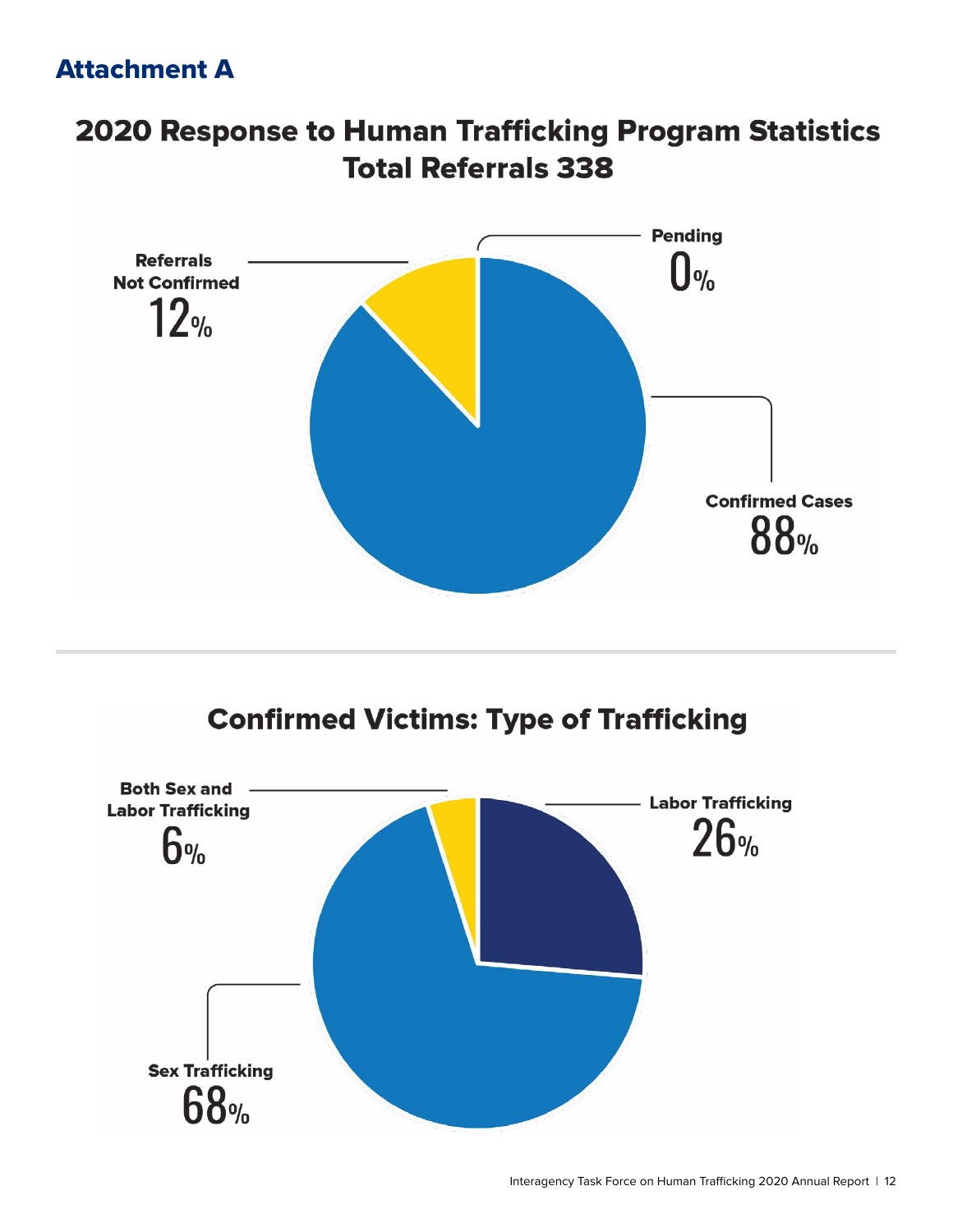# <span id="page-11-0"></span>Attachment A

# 2020 Response to Human Trafficking Program Statistics **Total Referrals 338**



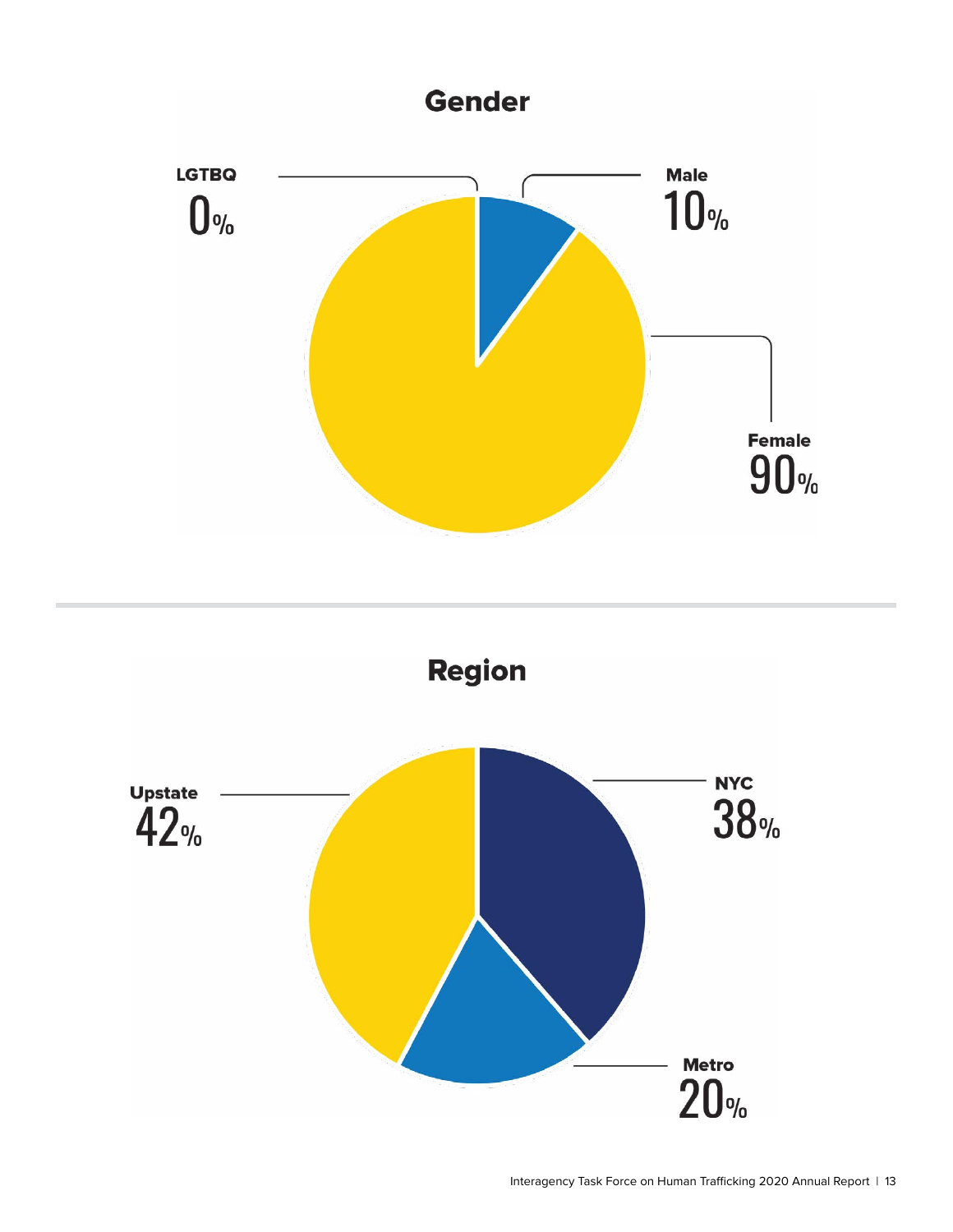

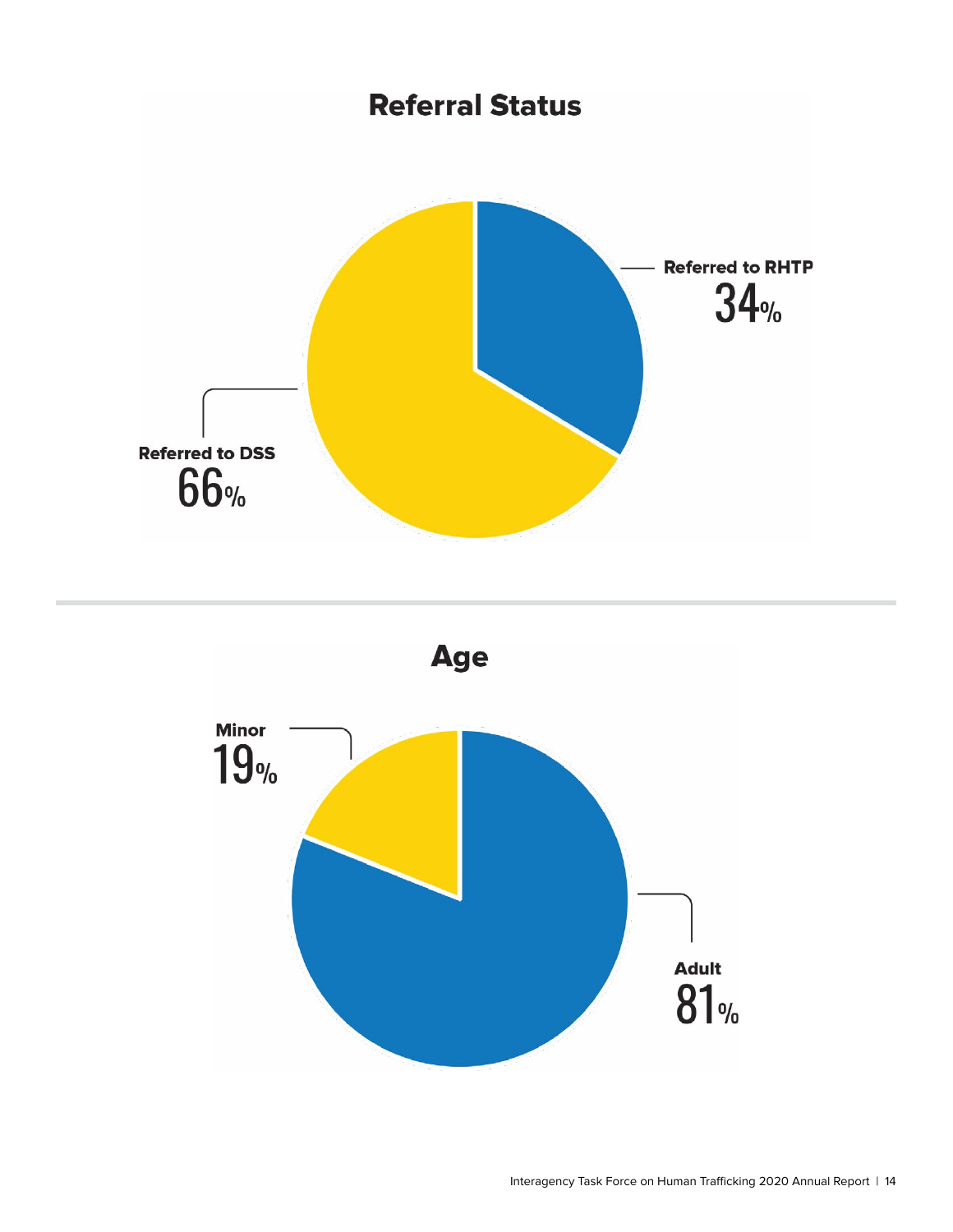

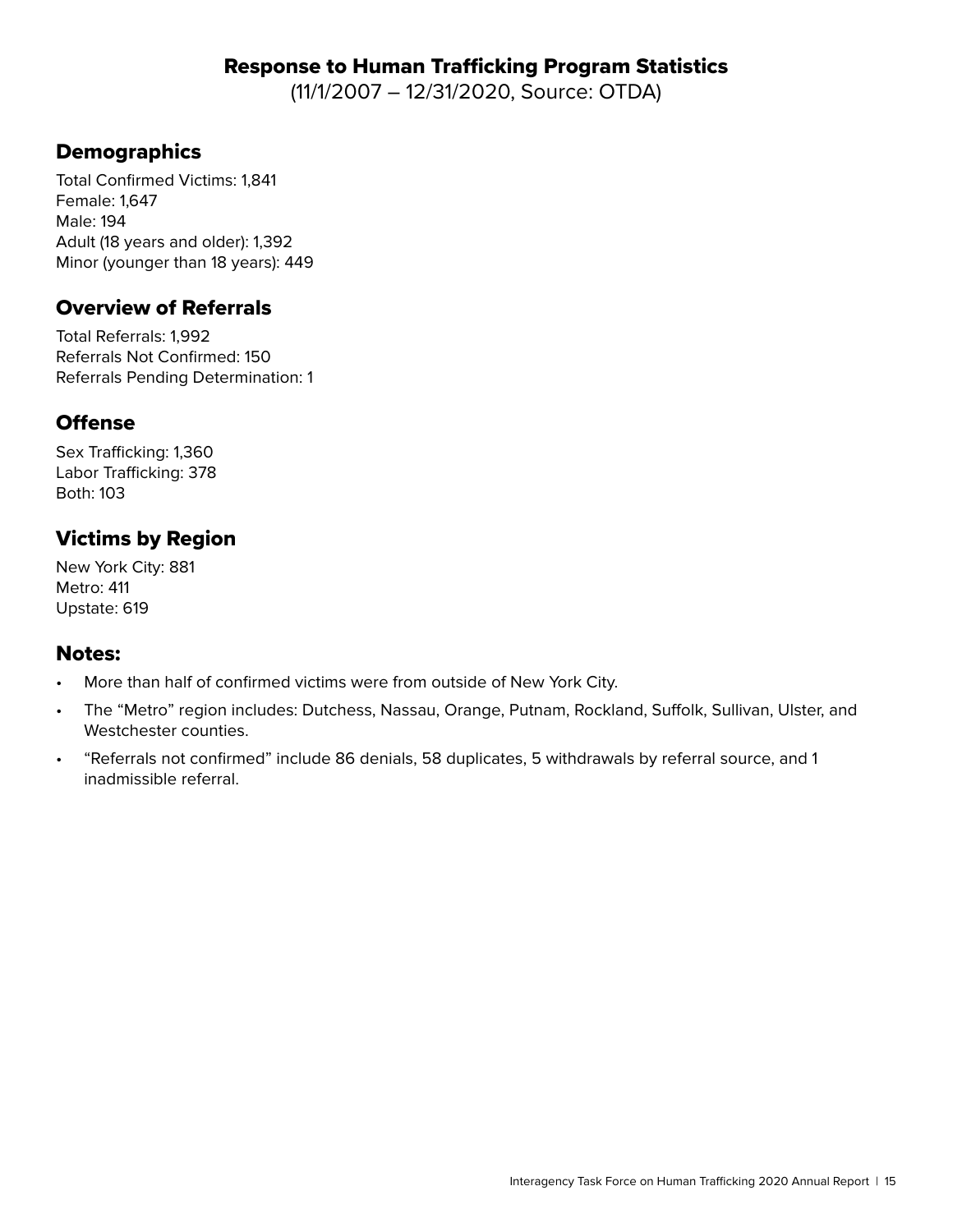#### Response to Human Trafficking Program Statistics

(11/1/2007 – 12/31/2020, Source: OTDA)

## **Demographics**

Total Confirmed Victims: 1,841 Female: 1,647 Male: 194 Adult (18 years and older): 1,392 Minor (younger than 18 years): 449

#### Overview of Referrals

Total Referrals: 1,992 Referrals Not Confirmed: 150 Referrals Pending Determination: 1

#### **Offense**

Sex Trafficking: 1,360 Labor Trafficking: 378 Both: 103

## Victims by Region

New York City: 881 Metro: 411 Upstate: 619

#### Notes:

- More than half of confirmed victims were from outside of New York City.
- The "Metro" region includes: Dutchess, Nassau, Orange, Putnam, Rockland, Suffolk, Sullivan, Ulster, and Westchester counties.
- "Referrals not confirmed" include 86 denials, 58 duplicates, 5 withdrawals by referral source, and 1 inadmissible referral.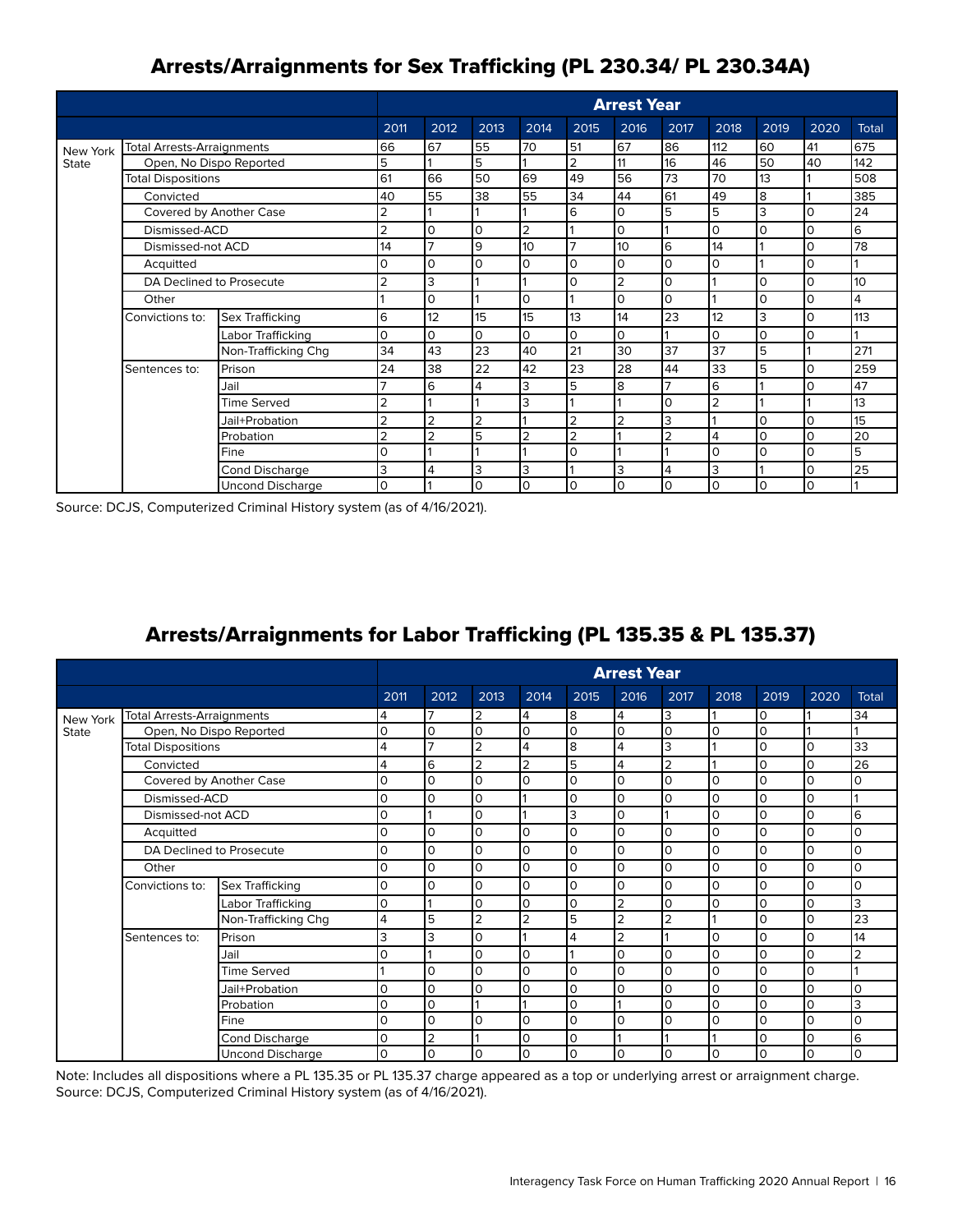## Arrests/Arraignments for Sex Trafficking (PL 230.34/ PL 230.34A)

|              |                                   |                         | <b>Arrest Year</b> |                |                |                |                |                |                |                |          |          |              |
|--------------|-----------------------------------|-------------------------|--------------------|----------------|----------------|----------------|----------------|----------------|----------------|----------------|----------|----------|--------------|
|              |                                   |                         | 2011               | 2012           | 2013           | 2014           | 2015           | 2016           | 2017           | 2018           | 2019     | 2020     | <b>Total</b> |
| New York     | <b>Total Arrests-Arraignments</b> |                         | 66                 | 67             | 55             | 70             | 51             | 67             | 86             | 112            | 60       | 41       | 675          |
| <b>State</b> | Open, No Dispo Reported           |                         | 5                  |                | 5              |                | $\overline{2}$ | 11             | 16             | 46             | 50       | 40       | 142          |
|              | <b>Total Dispositions</b>         |                         |                    | 66             | 50             | 69             | 49             | 56             | 73             | 70             | 13       |          | 508          |
|              | Convicted                         |                         | 40                 | 55             | 38             | 55             | 34             | 44             | 61             | 49             | 8        |          | 385          |
|              | Covered by Another Case           |                         | $\overline{2}$     |                |                |                | 6              | $\Omega$       | 5              | 5              | 3        | $\Omega$ | 24           |
|              | Dismissed-ACD                     |                         | $\overline{2}$     | l0             | $\Omega$       | $\overline{2}$ |                | $\Omega$       |                | $\Omega$       | $\Omega$ | $\Omega$ | l6           |
|              | Dismissed-not ACD                 |                         | 14                 |                | 9              | 10             | $\overline{ }$ | 10             | 6              | 14             |          | O        | 78           |
|              | Acquitted                         |                         | 0                  | l0             | 0              | 0              | 0              | $\Omega$       | I٥             | 0              |          | O        |              |
|              | DA Declined to Prosecute          |                         | $\overline{2}$     | 3              |                |                | 0              | $\overline{2}$ | I٥             |                | $\Omega$ | O        | 10           |
|              | Other                             |                         |                    | $\Omega$       |                | O              |                | $\Omega$       | lo             |                | $\Omega$ | $\Omega$ | 4            |
|              | Convictions to:                   | Sex Trafficking         | 6                  | 12             | 15             | 15             | 13             | 14             | 23             | 12             | 3        | $\Omega$ | 113          |
|              |                                   | Labor Trafficking       | 0                  | l0             | $\Omega$       | O              | 0              | $\Omega$       |                | 0              | $\Omega$ | O        |              |
|              |                                   | Non-Trafficking Chg     | 34                 | 43             | 23             | 40             | 21             | 30             | 37             | 37             | 5        |          | 271          |
|              | Sentences to:                     | Prison                  | 24                 | 38             | 22             | 42             | 23             | 28             | 44             | 33             | 5        | $\Omega$ | 259          |
|              |                                   | Jail                    |                    | 6              | 4              | 3              | 5              | 8              | $\overline{7}$ | 6              |          | $\Omega$ | 47           |
|              |                                   | <b>Time Served</b>      | $\overline{2}$     |                |                | 3              |                |                | I٥             | $\overline{2}$ |          |          | 13           |
|              |                                   | Jail+Probation          |                    |                | $\overline{2}$ |                | 2              | $\overline{2}$ | 13             |                |          | $\Omega$ | 15           |
|              |                                   | Probation               | $\overline{2}$     | $\overline{2}$ | 5              | $\overline{2}$ | $\overline{2}$ |                | $\overline{2}$ | $\overline{4}$ | $\Omega$ | $\Omega$ | 20           |
|              |                                   | Fine                    | 0                  |                |                |                | 0              |                |                | 0              | O        | $\Omega$ | 5            |
|              |                                   | Cond Discharge          | 3                  | 4              | 3              | 3              |                | 3              | 4              | 3              |          | $\Omega$ | 25           |
|              |                                   | <b>Uncond Discharge</b> | 0                  |                | $\Omega$       | $\Omega$       | 0              | $\Omega$       | lo             | $\Omega$       | $\Omega$ | $\Omega$ |              |

Source: DCJS, Computerized Criminal History system (as of 4/16/2021).

## Arrests/Arraignments for Labor Trafficking (PL 135.35 & PL 135.37)

|              |                                                                                                                 |                         | <b>Arrest Year</b> |                |                |                |              |                |                |          |          |      |                |
|--------------|-----------------------------------------------------------------------------------------------------------------|-------------------------|--------------------|----------------|----------------|----------------|--------------|----------------|----------------|----------|----------|------|----------------|
|              |                                                                                                                 |                         | 2011               | 2012           | 2013           | 2014           | 2015         | 2016           | 2017           | 2018     | 2019     | 2020 | <b>Total</b>   |
| New York     | <b>Total Arrests-Arraignments</b>                                                                               |                         | 4                  | $\overline{7}$ | $\overline{2}$ | 4              | 8            | 4              | Iз             |          | I٥       |      | 34             |
| <b>State</b> | Open, No Dispo Reported                                                                                         |                         | $\Omega$           | I٥             | lo             | $\Omega$       | $\mathsf{O}$ | l0             | lo             | 0        | l0       |      |                |
|              | <b>Total Dispositions</b>                                                                                       |                         | 4                  | $\overline{ }$ | $\overline{2}$ | 4              | 8            | 4              | Iз             |          | ١O       | 0    | 33             |
|              | Convicted                                                                                                       |                         | 4                  | l6             | $\overline{2}$ | $\overline{2}$ | 5            | 4              | $\overline{2}$ |          | l0       | O    | 26             |
|              | Covered by Another Case<br>Dismissed-ACD<br>Dismissed-not ACD<br>Acquitted<br>DA Declined to Prosecute<br>Other |                         | 0                  | lo             | ۱o             | 0              | $\mathsf{O}$ | l O            | $\Omega$       | $\Omega$ | $\Omega$ | 0    | $\Omega$       |
|              |                                                                                                                 |                         | 0                  | lo             | I٥             |                | 0            | ۱o             | $\mathsf{O}$   | 0        | ١O       | 0    |                |
|              |                                                                                                                 |                         | $\Omega$           |                | I٥             |                | 3            | ۱o             |                | $\Omega$ | 0        | 0    | 6              |
|              |                                                                                                                 |                         | 0                  | ۱o             | I٥             | 0              | 0            | ۱O             | $\Omega$       | $\Omega$ | $\Omega$ | 0    | ۱O             |
|              |                                                                                                                 |                         | 0                  | l0             | l0             | 0              | $\mathsf{O}$ | l O            | $\Omega$       | $\Omega$ | $\Omega$ | 0    | ۱o             |
|              |                                                                                                                 |                         | $\Omega$           | ۱o             | I٥             | 0              | $\mathbf 0$  | l O            | $\Omega$       | 0        | ١O       | 0    | ۱n             |
|              | Convictions to:                                                                                                 | Sex Trafficking         | 0                  | ۱o             | ١O             | 0              | 0            | ۱o             | $\Omega$       | $\Omega$ | 0        | 0    | ۱O             |
|              |                                                                                                                 | Labor Trafficking       | $\Omega$           |                | l0             | 0              | $\Omega$     | $\overline{2}$ | $\Omega$       | $\Omega$ | $\Omega$ | 0    | 3              |
|              |                                                                                                                 | Non-Trafficking Chg     | 4                  | 5              | $\overline{2}$ | 2              | 5            | $\overline{2}$ | $\overline{2}$ |          | $\Omega$ | 0    | 23             |
|              | Sentences to:                                                                                                   | Prison                  | 3                  | lз             | lo             |                | 4            | $\overline{2}$ |                | $\Omega$ | l0       | 0    | 14             |
|              |                                                                                                                 | Jail                    | 0                  |                | I٥             | $\Omega$       |              | ۱o             | $\Omega$       | $\Omega$ | ١O       | 0    | $\overline{2}$ |
|              |                                                                                                                 | <b>Time Served</b>      |                    | ۱o             | I٥             | 0              | 0            | ۱O             | $\circ$        | 0        | 0        | 0    |                |
|              |                                                                                                                 | Jail+Probation          | 0                  | ۱o             | lo             | 0              | $\mathbf 0$  | ۱o             | $\Omega$       | $\Omega$ | $\Omega$ | 0    | $\overline{0}$ |
|              |                                                                                                                 | Probation               | $\Omega$           | I٥             |                |                | $\mathsf{O}$ |                | $\Omega$       | $\Omega$ | $\Omega$ | 0    | lЗ             |
|              |                                                                                                                 | Fine                    | $\Omega$           | ۱o             | ١O             | $\Omega$       | 0            | l O            | $\Omega$       | $\Omega$ | 0        | 0    | $\Omega$       |
|              |                                                                                                                 | <b>Cond Discharge</b>   | $\Omega$           | 2              |                | $\Omega$       | 0            |                |                |          | ١O       | 0    | l6             |
|              |                                                                                                                 | <b>Uncond Discharge</b> | $\Omega$           | I٥             | lo             | $\Omega$       | $\mathbf 0$  | ۱o             | $\Omega$       | 0        | l0       | 0    | lo             |

Note: Includes all dispositions where a PL 135.35 or PL 135.37 charge appeared as a top or underlying arrest or arraignment charge. Source: DCJS, Computerized Criminal History system (as of 4/16/2021).